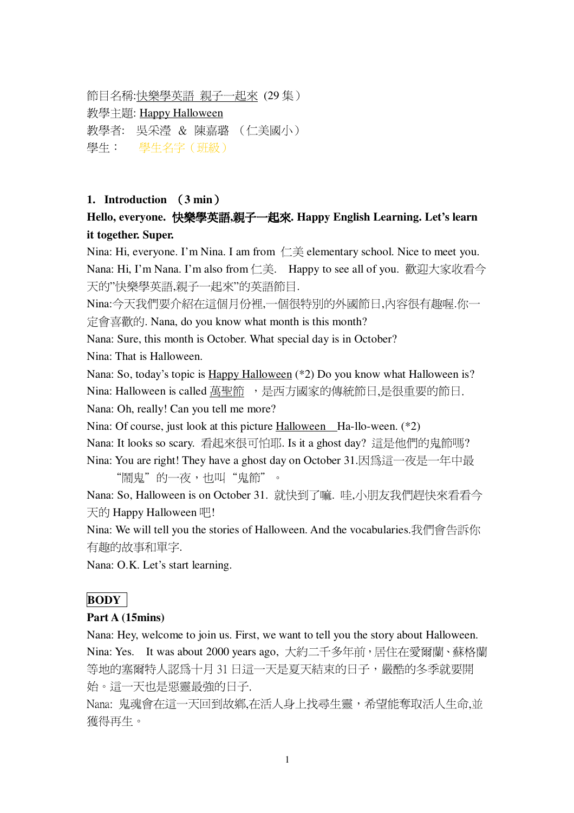節目名稱:<u>快樂學英語 親子一起來</u> (29 集 ) 教學主題: Happy Halloween 教學者: 吳采瀅 & 陳嘉璐 (仁美國小) 學生: 學生名字 (班級)

#### **1. Introduction 3 min**-

## **Hello, everyone. , . Happy English Learning. Let's learn it together. Super.**

Nina: Hi, everyone. I'm Nina. I am from  $\Box \ddot{\equiv}$  elementary school. Nice to meet you. Nana: Hi, I'm Nana. I'm also from 仁美. Happy to see all of you. 歡迎大家收看今 天的"快樂學英語,親子一起來"的英語節目.

Nina:今天我們要介紹在這個月份裡,一個很特別的外國節日,內容很有趣喔.你一  $\hat{\pi}$   $\hat{\pi}$   $\hat{\pi}$   $\hat{\pi}$   $\hat{E}$   $\hat{\pi}$ . Nana, do you know what month is this month?

Nana: Sure, this month is October. What special day is in October?

Nina: That is Halloween.

Nana: So, today's topic is Happy Halloween (\*2) Do you know what Halloween is? Nina: Halloween is called 萬聖節, 是西方國家的傳統節日,是很重要的節日. Nana: Oh, really! Can you tell me more?

Nina: Of course, just look at this picture Halloween Ha-llo-ween. (\*2)

Nana: It looks so scary. 看起來很可怕耶. Is it a ghost day? 這是他們的鬼節嗎?

Nina: You are right! They have a ghost day on October 31.因為這一夜是一年中最 "鬧鬼"的一夜,也叫"鬼節"。

Nana: So, Halloween is on October 31. 就快到了嘛. 哇,小朋友我們趕快來看看今 天的 Happy Halloween 吧!

Nina: We will tell you the stories of Halloween. And the vocabularies.我們會告訴你 有趣的故事和單字.

Nana: O.K. Let's start learning.

## **BODY**

#### **Part A (15mins)**

Nana: Hey, welcome to join us. First, we want to tell you the story about Halloween. Nina: Yes. It was about 2000 years ago, 大約二千多年前, 居住在愛爾蘭, 蘇格蘭 等地的塞爾特人認為十月31日這一天是夏天結束的日子,嚴酷的冬季就要開 始。這一天也是惡靈最強的日子.

Nana: 鬼魂會在這一天回到故鄉, 在活人身上找尋生靈, 希望能奪取活人生命, 並 獲得再牛。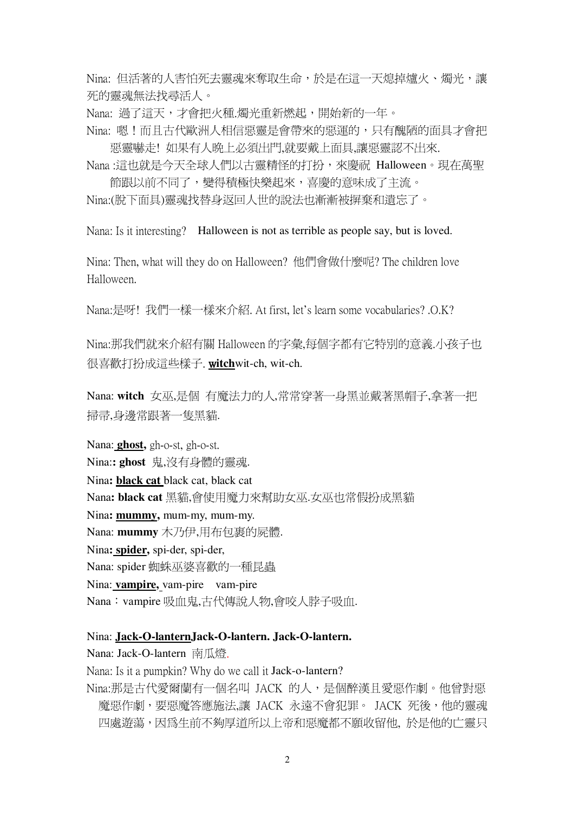Nina: 但活著的人害怕死去靈魂來奪取生命,於是在這一天熄掉爐火、燭光,讓 死的靈魂無法找尋活人。

Nana: 渦了這天,才會把火種,燭光重新燃起,開始新的一年。

Nina: 嗯!而且古代歐洲人相信惡靈是會帶來的惡運的,只有醜陋的面具才會把 惡靈嚇走! 如果有人晚上必須出門,就要戴上面具,讓惡靈認不出來.

Nana :這也就是今天全球人們以古靈精怪的打扮,來慶祝 Halloween。現在萬聖 節跟以前不同了,變得積極快樂起來,喜慶的意味成了主流。

Nina:(脫下面具)靈魂找替身返回人世的說法也漸漸被摒棄和遺忘了。

Nana: Is it interesting? Halloween is not as terrible as people say, but is loved.

Nina: Then, what will they do on Halloween? 他們會做什麼呢? The children love Halloween.

Nana:是呀! 我們一樣一樣來介紹, At first, let's learn some vocabularies? .O.K?

Nina:那我們就來介紹有關 Halloween 的字彙.每個字都有它特別的意義.小孩子也 很喜歡打扮成這些樣子. witchwit-ch, wit-ch.

Nana: witch 女巫,是個 有魔法力的人,常常穿著一身黑並戴著黑帽子,拿著一把 掃帚,身邊常跟著一隻黑貓.

Nana: **ghost**, gh-o-st, gh-o-st. Nina:: ghost 鬼,沒有身體的靈魂. Nina: black cat black cat, black cat Nana: black cat 黑貓,會使用魔力來幫助女巫.女巫也常假扮成黑貓 Nina: mummy, mum-my, mum-my. Nana: mummy 木乃伊,用布包裹的屍體. Nina: spider, spi-der, spi-der, Nana: spider 蜘蛛巫婆喜歡的一種昆蟲 Nina: vampire, vam-pire vam-pire Nana: vampire 吸血鬼,古代傳說人物,會咬人脖子吸血.

Nina: Jack-O-lanternJack-O-lantern. Jack-O-lantern.

Nana: Jack-O-lantern 南瓜燈.

Nana: Is it a pumpkin? Why do we call it Jack-o-lantern?

Nina:那是古代愛爾蘭有一個名叫 JACK 的人,是個醉漢且愛惡作劇。他曾對惡 魔惡作劇,要惡魔答應施法.讓 JACK 永遠不會犯罪。 JACK 死後,他的靈魂 四處遊蕩,因為生前不夠厚道所以上帝和惡魔都不願收留他,於是他的亡靈只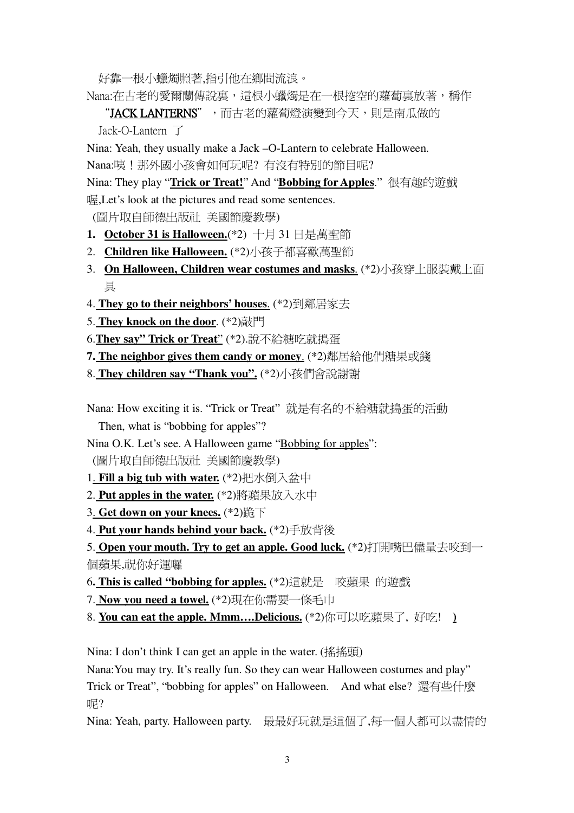好靠一根小蠟燭照著,指引他在鄉間流浪。

Nana:在古老的愛爾蘭傳說裏,這根小蠟燭是在一根挖空的蘿蔔裏放著,稱作

"JACK LANTERNS",而古老的蘿蔔燈演變到今天,則是南瓜做的 Jack-O-Lantern  $\top$ 

Nina: Yeah, they usually make a Jack -O-Lantern to celebrate Halloween. Nana:咦!那外國小孩會如何玩呢? 有沒有特別的節目呢?

Nina: They play "Trick or Treat!" And "Bobbing for Apples." 很有趣的遊戲 喔, Let's look at the pictures and read some sentences.

(圖片取自師德出版社 美國節慶教學)

- 1. October 31 is Halloween.(\*2) 十月 31 日是萬聖節
- 2. Children like Halloween. (\*2)小孩子都喜歡萬聖節
- 3. On Halloween, Children wear costumes and masks. (\*2)小孩穿上服裝戴上面 且
- 4. They go to their neighbors' houses. (\*2)到鄰居家去
- 5. They knock on the door. (\*2)敲門
- 6. They say" Trick or Treat" (\*2). 說不給糖吃就搗蛋

7. The neighbor gives them candy or money. (\*2)鄰居給他們糖果或錢

8. They children say "Thank you". (\*2)小孩們會說謝謝

Nana: How exciting it is. "Trick or Treat" 就是有名的不給糖就搗蛋的活動

Then, what is "bobbing for apples"?

Nina O.K. Let's see. A Halloween game "Bobbing for apples":

(圖片取自師德出版社 美國節慶教學)

- 1. Fill a big tub with water. (\*2)把水倒入盆中
- 2. Put apples in the water. (\*2)將蘋果放入水中
- 3. Get down on your knees. (\*2)跪下
- 4. Put your hands behind your back. (\*2)手放背後

5. Open your mouth. Try to get an apple. Good luck. (\*2)打開嘴巴儘量去咬到一 個蘋果,祝你好運囉

- 6. This is called "bobbing for apples. (\*2)這就是 咬蘋果 的游戲
- 7. Now you need a towel. (\*2)現在你需要一條毛巾
- 8. You can eat the apple. Mmm....Delicious. (\*2)你可以吃蘋果了, 好吃! )

Nina: I don't think I can get an apple in the water. (搖搖頭)

Nana: You may try. It's really fun. So they can wear Halloween costumes and play" Trick or Treat", "bobbing for apples" on Halloween. And what else? 還有些什麼 1尼?

Nina: Yeah, party. Halloween party. 最最好玩就是這個了,每一個人都可以盡情的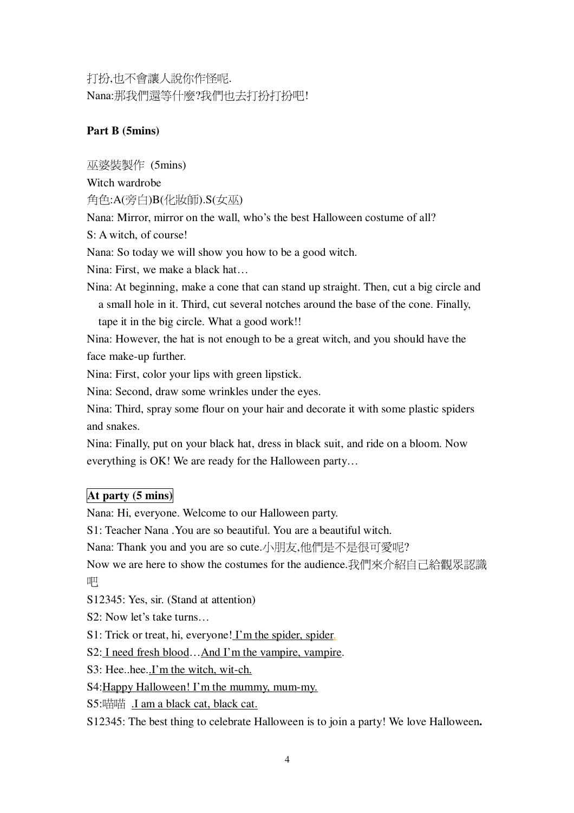打扮,也不會讓人說你作怪呢. Nana: 那我們還等什麼?我們也去打扮打扮吧!

### **Part B (5mins)**

 $\overline{W}$  婆裝製作 (5mins)

Witch wardrobe

角色:A(旁白)B(化妝師).S(女巫)

Nana: Mirror, mirror on the wall, who's the best Halloween costume of all?

S: A witch, of course!

Nana: So today we will show you how to be a good witch.

Nina: First, we make a black hat…

Nina: At beginning, make a cone that can stand up straight. Then, cut a big circle and a small hole in it. Third, cut several notches around the base of the cone. Finally, tape it in the big circle. What a good work!!

Nina: However, the hat is not enough to be a great witch, and you should have the face make-up further.

Nina: First, color your lips with green lipstick.

Nina: Second, draw some wrinkles under the eyes.

Nina: Third, spray some flour on your hair and decorate it with some plastic spiders and snakes.

Nina: Finally, put on your black hat, dress in black suit, and ride on a bloom. Now everything is OK! We are ready for the Halloween party…

## **At party (5 mins)**

Nana: Hi, everyone. Welcome to our Halloween party.

S1: Teacher Nana .You are so beautiful. You are a beautiful witch.

Nana: Thank you and you are so cute.小朋友,他們是不是很可愛呢?

Now we are here to show the costumes for the audience.我們來介紹自己給觀眾認識 吧

S12345: Yes, sir. (Stand at attention)

S2: Now let's take turns…

S1: Trick or treat, hi, everyone! I'm the spider, spider.

S2: I need fresh blood…And I'm the vampire, vampire.

S3: Hee..hee..I'm the witch, wit-ch.

S4:Happy Halloween! I'm the mummy, mum-my.

S5:喵喵 .I am a black cat, black cat.

S12345: The best thing to celebrate Halloween is to join a party! We love Halloween**.**